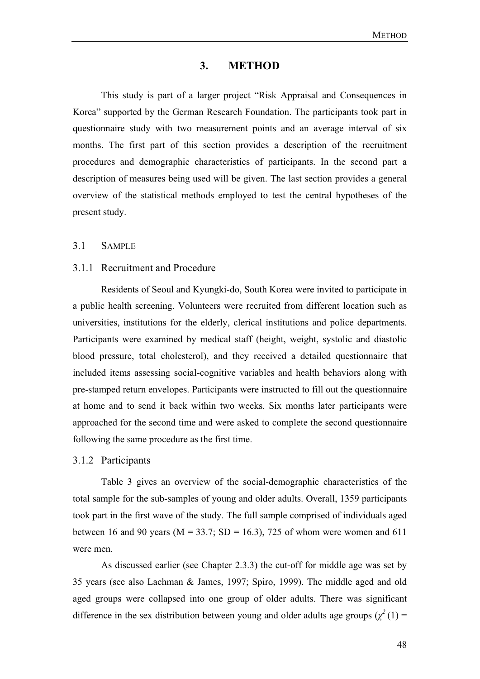### **3. METHOD**

 This study is part of a larger project "Risk Appraisal and Consequences in Korea" supported by the German Research Foundation. The participants took part in questionnaire study with two measurement points and an average interval of six months. The first part of this section provides a description of the recruitment procedures and demographic characteristics of participants. In the second part a description of measures being used will be given. The last section provides a general overview of the statistical methods employed to test the central hypotheses of the present study.

## 3.1 SAMPLE

#### 3.1.1 Recruitment and Procedure

Residents of Seoul and Kyungki-do, South Korea were invited to participate in a public health screening. Volunteers were recruited from different location such as universities, institutions for the elderly, clerical institutions and police departments. Participants were examined by medical staff (height, weight, systolic and diastolic blood pressure, total cholesterol), and they received a detailed questionnaire that included items assessing social-cognitive variables and health behaviors along with pre-stamped return envelopes. Participants were instructed to fill out the questionnaire at home and to send it back within two weeks. Six months later participants were approached for the second time and were asked to complete the second questionnaire following the same procedure as the first time.

#### 3.1.2 Participants

Table 3 gives an overview of the social-demographic characteristics of the total sample for the sub-samples of young and older adults. Overall, 1359 participants took part in the first wave of the study. The full sample comprised of individuals aged between 16 and 90 years ( $M = 33.7$ ; SD = 16.3), 725 of whom were women and 611 were men.

As discussed earlier (see Chapter 2.3.3) the cut-off for middle age was set by 35 years (see also Lachman & James, 1997; Spiro, 1999). The middle aged and old aged groups were collapsed into one group of older adults. There was significant difference in the sex distribution between young and older adults age groups  $(\chi^2(1))$  =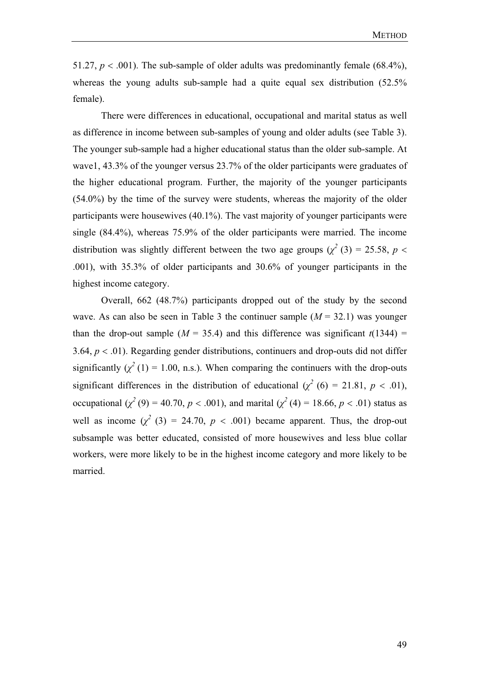51.27,  $p < .001$ ). The sub-sample of older adults was predominantly female (68.4%), whereas the young adults sub-sample had a quite equal sex distribution (52.5% female).

There were differences in educational, occupational and marital status as well as difference in income between sub-samples of young and older adults (see Table 3). The younger sub-sample had a higher educational status than the older sub-sample. At wave1, 43.3% of the younger versus 23.7% of the older participants were graduates of the higher educational program. Further, the majority of the younger participants (54.0%) by the time of the survey were students, whereas the majority of the older participants were housewives (40.1%). The vast majority of younger participants were single (84.4%), whereas 75.9% of the older participants were married. The income distribution was slightly different between the two age groups  $(\chi^2(3) = 25.58, p <$ .001), with 35.3% of older participants and 30.6% of younger participants in the highest income category.

Overall, 662 (48.7%) participants dropped out of the study by the second wave. As can also be seen in Table 3 the continuer sample  $(M = 32.1)$  was younger than the drop-out sample ( $M = 35.4$ ) and this difference was significant  $t(1344) =$ 3.64,  $p < .01$ ). Regarding gender distributions, continuers and drop-outs did not differ significantly  $(\chi^2(1) = 1.00, n.s.)$ . When comparing the continuers with the drop-outs significant differences in the distribution of educational ( $\chi^2$  (6) = 21.81, *p* < .01), occupational ( $\chi^2$  (9) = 40.70, *p* < .001), and marital ( $\chi^2$  (4) = 18.66, *p* < .01) status as well as income  $(\chi^2(3) = 24.70, p < .001)$  became apparent. Thus, the drop-out subsample was better educated, consisted of more housewives and less blue collar workers, were more likely to be in the highest income category and more likely to be married.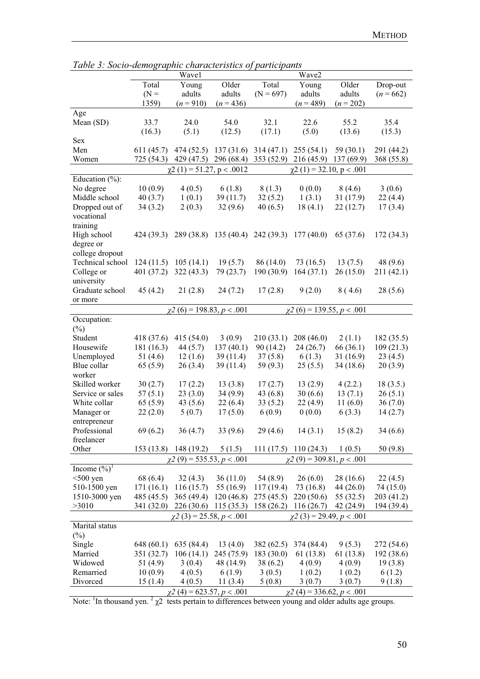|                                       |            | Wave1                            |             |             | Wave2                                                             |           |             |
|---------------------------------------|------------|----------------------------------|-------------|-------------|-------------------------------------------------------------------|-----------|-------------|
|                                       | Total      | Young                            | Older       | Total       | Young                                                             | Older     | Drop-out    |
|                                       | $(N =$     | adults                           | adults      | $(N = 697)$ | adults                                                            | adults    | $(n = 662)$ |
|                                       | 1359)      | $(n=910)$                        | $(n=436)$   |             | $(n=489)$                                                         | $(n=202)$ |             |
| Age                                   |            |                                  |             |             |                                                                   |           |             |
| Mean (SD)                             | 33.7       | 24.0                             | 54.0        | 32.1        | 22.6                                                              | 55.2      | 35.4        |
|                                       | (16.3)     | (5.1)                            | (12.5)      | (17.1)      | (5.0)                                                             | (13.6)    | (15.3)      |
| Sex                                   |            |                                  |             |             |                                                                   |           |             |
| Men                                   | 611(45.7)  |                                  |             |             | 474 (52.5) 137 (31.6) 314 (47.1) 255 (54.1)                       | 59(30.1)  | 291 (44.2)  |
| Women                                 |            |                                  |             |             | 725 (54.3) 429 (47.5) 296 (68.4) 353 (52.9) 216 (45.9) 137 (69.9) |           | 368 (55.8)  |
|                                       |            | $\chi$ 2 (1) = 51.27, p < .0012  |             |             | $\chi$ 2 (1) = 32.10, p < .001                                    |           |             |
| Education $(\%):$                     |            |                                  |             |             |                                                                   |           |             |
| No degree                             | 10(0.9)    | 4(0.5)                           | 6(1.8)      | 8(1.3)      | 0(0.0)                                                            | 8(4.6)    | 3(0.6)      |
| Middle school                         | 40(3.7)    | 1(0.1)                           | 39(11.7)    | 32(5.2)     | 1(3.1)                                                            | 31(17.9)  | 22(4.4)     |
| Dropped out of                        | 34(3.2)    | 2(0.3)                           | 32(9.6)     | 40(6.5)     | 18(4.1)                                                           | 22(12.7)  | 17(3.4)     |
| vocational                            |            |                                  |             |             |                                                                   |           |             |
| training                              |            |                                  |             |             |                                                                   |           |             |
| High school                           | 424 (39.3) |                                  |             |             | 289 (38.8) 135 (40.4) 242 (39.3) 177 (40.0)                       | 65 (37.6) | 172(34.3)   |
| degree or                             |            |                                  |             |             |                                                                   |           |             |
| college dropout                       |            |                                  |             |             |                                                                   |           |             |
| Technical school                      | 124(11.5)  | 105(14.1)                        | 19(5.7)     | 86 (14.0)   | 73(16.5)                                                          | 13(7.5)   | 48(9.6)     |
| College or                            | 401(37.2)  | 322(43.3)                        | 79 (23.7)   | 190(30.9)   | 164(37.1)                                                         | 26(15.0)  | 211 (42.1)  |
| university                            |            |                                  |             |             |                                                                   |           |             |
| Graduate school                       | 45(4.2)    | 21(2.8)                          | 24(7.2)     | 17(2.8)     | 9(2.0)                                                            | 8(4.6)    | 28(5.6)     |
| or more                               |            |                                  |             |             |                                                                   |           |             |
|                                       |            | $\chi^2$ (6) = 198.83, p < .001  |             |             | $\chi^2$ (6) = 139.55, p < .001                                   |           |             |
| Occupation:                           |            |                                  |             |             |                                                                   |           |             |
| $(\%)$                                |            |                                  |             |             |                                                                   |           |             |
| Student                               | 418 (37.6) | 415(54.0)                        | 3(0.9)      | 210(33.1)   | 208(46.0)                                                         | 2(1.1)    | 182 (35.5)  |
| Housewife                             | 181(16.3)  | 44 (5.7)                         | 137(40.1)   | 90(14.2)    | 24(26.7)                                                          | 66 (36.1) | 109(21.3)   |
| Unemployed                            | 51 $(4.6)$ | 12(1.6)                          | 39(11.4)    | 37(5.8)     | 6(1.3)                                                            | 31(16.9)  | 23(4.5)     |
| Blue collar                           | 65(5.9)    | 26(3.4)                          | 39(11.4)    | 59 $(9.3)$  | 25(5.5)                                                           | 34(18.6)  | 20(3.9)     |
| worker                                |            |                                  |             |             |                                                                   |           |             |
| Skilled worker                        | 30(2.7)    | 17(2.2)                          | 13(3.8)     | 17(2.7)     | 13(2.9)                                                           | 4(2.2.)   | 18(3.5.)    |
| Service or sales                      | 57(5.1)    | 23(3.0)                          | 34(9.9)     | 43(6.8)     | 30(6.6)                                                           | 13(7.1)   | 26(5.1)     |
| White collar                          | 65(5.9)    | 43(5.6)                          | 22(6.4)     | 33(5.2)     | 22(4.9)                                                           | 11(6.0)   | 36(7.0)     |
| Manager or                            | 22(2.0)    | 5(0.7)                           | 17(5.0)     | 6(0.9)      | 0(0.0)                                                            | 6(3.3)    | 14(2.7)     |
| entrepreneur                          |            |                                  |             |             |                                                                   |           |             |
| Professional                          | 69(6.2)    | 36(4.7)                          | 33(9.6)     | 29(4.6)     | 14(3.1)                                                           | 15(8.2)   | 34(6.6)     |
| freelancer                            |            |                                  |             |             |                                                                   |           |             |
| Other                                 |            | 153 (13.8) 148 (19.2)            | 5(1.5)      |             | $111(17.5)$ 110 (24.3)                                            | 1(0.5)    | 50(9.8)     |
|                                       |            | $\chi$ 2 (9) = 535.53, p < .001  |             |             | $\chi$ 2 (9) = 309.81, p < .001                                   |           |             |
| Income $(\overline{\frac{9}{6}})^{1}$ |            |                                  |             |             |                                                                   |           |             |
| $<$ 500 yen                           | 68 (6.4)   | 32(4.3)                          | 36(11.0)    | 54 (8.9)    | 26(6.0)                                                           | 28 (16.6) | 22(4.5)     |
| 510-1500 yen                          | 171(16.1)  | 116(15.7)                        | 55 $(16.9)$ | 117(19.4)   | 73 (16.8)                                                         | 44(26.0)  | 74 (15.0)   |
| 1510-3000 yen                         | 485 (45.5) | 365(49.4)                        | 120(46.8)   | 275(45.5)   | 220(50.6)                                                         | 55 (32.5) | 203 (41.2)  |
| >3010                                 |            | 341 (32.0) 226 (30.6) 115 (35.3) |             |             | $158(26.2)$ 116 (26.7)                                            | 42 (24.9) | 194 (39.4)  |
|                                       |            | $\chi$ 2 (3) = 25.58, p < .001   |             |             | $\chi$ 2 (3) = 29.49, p < .001                                    |           |             |
| Marital status<br>$(\%)$              |            |                                  |             |             |                                                                   |           |             |
| Single                                | 648(60.1)  | 635 (84.4)                       | 13(4.0)     | 382(62.5)   | 374 (84.4)                                                        | 9(5.3)    | 272 (54.6)  |
| Married                               | 351 (32.7) | 106(14.1)                        | 245 (75.9)  | 183(30.0)   | 61 (13.8)                                                         | 61 (13.8) | 192(38.6)   |
| Widowed                               | 51 (4.9)   | 3(0.4)                           | 48 (14.9)   | 38(6.2)     | 4(0.9)                                                            | 4(0.9)    | 19(3.8)     |
| Remarried                             | 10(0.9)    | 4(0.5)                           | 6(1.9)      | 3(0.5)      | 1(0.2)                                                            | 1(0.2)    | 6(1.2)      |
| Divorced                              | 15(1.4)    | 4(0.5)                           | 11(3.4)     | 5(0.8)      | 3(0.7)                                                            | 3(0.7)    | 9(1.8)      |
|                                       |            | $\chi$ 2 (4) = 623.57, p < .001  |             |             | $\chi$ 2 (4) = 336.62, <i>p</i> < .001                            |           |             |

*Table 3: Socio-demographic characteristics of participants* 

Note:  $\frac{1}{1}$ In thousand yen.  $\frac{2}{\chi^2}$  tests pertain to differences between young and older adults age groups.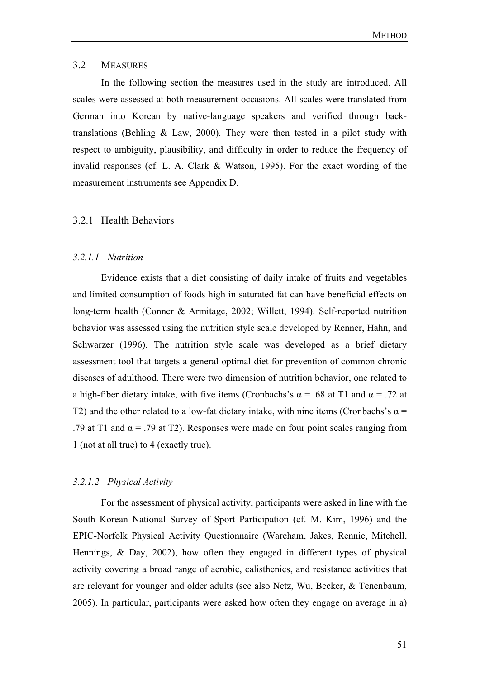### 3.2 MEASURES

In the following section the measures used in the study are introduced. All scales were assessed at both measurement occasions. All scales were translated from German into Korean by native-language speakers and verified through backtranslations (Behling & Law, 2000). They were then tested in a pilot study with respect to ambiguity, plausibility, and difficulty in order to reduce the frequency of invalid responses (cf. L. A. Clark & Watson, 1995). For the exact wording of the measurement instruments see Appendix D.

## 3.2.1 Health Behaviors

#### *3.2.1.1 Nutrition*

Evidence exists that a diet consisting of daily intake of fruits and vegetables and limited consumption of foods high in saturated fat can have beneficial effects on long-term health (Conner & Armitage, 2002; Willett, 1994). Self-reported nutrition behavior was assessed using the nutrition style scale developed by Renner, Hahn, and Schwarzer (1996). The nutrition style scale was developed as a brief dietary assessment tool that targets a general optimal diet for prevention of common chronic diseases of adulthood. There were two dimension of nutrition behavior, one related to a high-fiber dietary intake, with five items (Cronbachs's  $\alpha$  = .68 at T1 and  $\alpha$  = .72 at T2) and the other related to a low-fat dietary intake, with nine items (Cronbachs's  $\alpha$  = .79 at T1 and  $\alpha$  = .79 at T2). Responses were made on four point scales ranging from 1 (not at all true) to 4 (exactly true).

## *3.2.1.2 Physical Activity*

For the assessment of physical activity, participants were asked in line with the South Korean National Survey of Sport Participation (cf. M. Kim, 1996) and the EPIC-Norfolk Physical Activity Questionnaire (Wareham, Jakes, Rennie, Mitchell, Hennings, & Day, 2002), how often they engaged in different types of physical activity covering a broad range of aerobic, calisthenics, and resistance activities that are relevant for younger and older adults (see also Netz, Wu, Becker, & Tenenbaum, 2005). In particular, participants were asked how often they engage on average in a)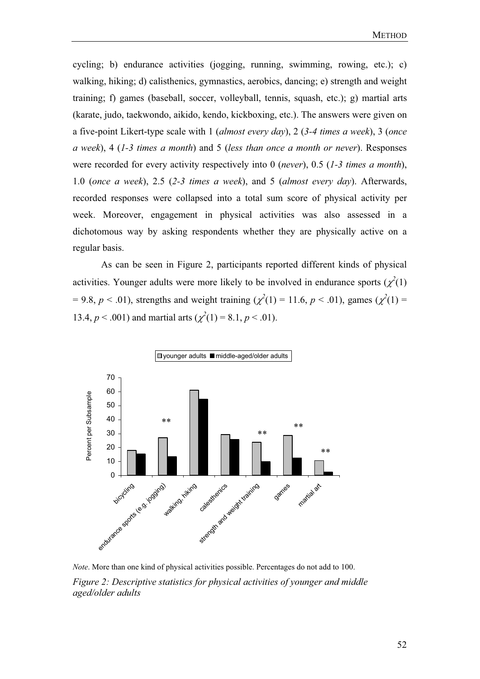cycling; b) endurance activities (jogging, running, swimming, rowing, etc.); c) walking, hiking; d) calisthenics, gymnastics, aerobics, dancing; e) strength and weight training; f) games (baseball, soccer, volleyball, tennis, squash, etc.); g) martial arts (karate, judo, taekwondo, aikido, kendo, kickboxing, etc.). The answers were given on a five-point Likert-type scale with 1 (*almost every day*), 2 (*3-4 times a week*), 3 (*once a week*), 4 (*1-3 times a month*) and 5 (*less than once a month or never*). Responses were recorded for every activity respectively into 0 (*never*), 0.5 (*1-3 times a month*), 1.0 (*once a week*), 2.5 (*2-3 times a week*), and 5 (*almost every day*). Afterwards, recorded responses were collapsed into a total sum score of physical activity per week. Moreover, engagement in physical activities was also assessed in a dichotomous way by asking respondents whether they are physically active on a regular basis.

 As can be seen in Figure 2, participants reported different kinds of physical activities. Younger adults were more likely to be involved in endurance sports  $(\chi^2(1))$  $= 9.8, p < .01$ ), strengths and weight training ( $\chi^2(1) = 11.6, p < .01$ ), games ( $\chi^2(1) =$ 13.4,  $p < .001$ ) and martial arts ( $\chi^2(1) = 8.1, p < .01$ ).



*Note*. More than one kind of physical activities possible. Percentages do not add to 100. *Figure 2: Descriptive statistics for physical activities of younger and middle aged/older adults*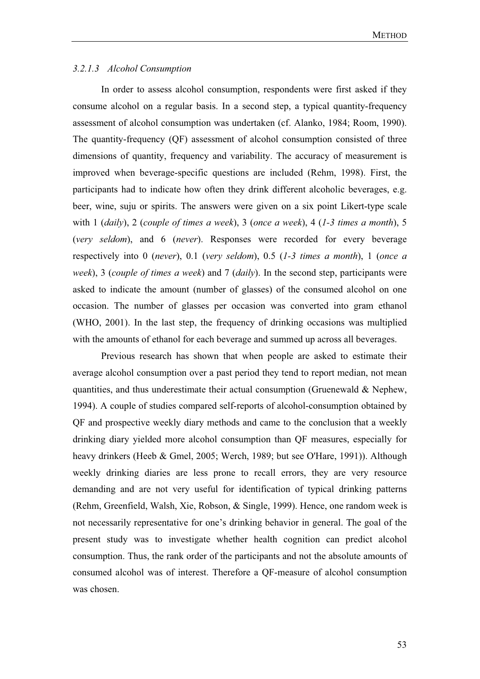### *3.2.1.3 Alcohol Consumption*

In order to assess alcohol consumption, respondents were first asked if they consume alcohol on a regular basis. In a second step, a typical quantity-frequency assessment of alcohol consumption was undertaken (cf. Alanko, 1984; Room, 1990). The quantity-frequency (QF) assessment of alcohol consumption consisted of three dimensions of quantity, frequency and variability. The accuracy of measurement is improved when beverage-specific questions are included (Rehm, 1998). First, the participants had to indicate how often they drink different alcoholic beverages, e.g. beer, wine, suju or spirits. The answers were given on a six point Likert-type scale with 1 (*daily*), 2 (*couple of times a week*), 3 (*once a week*), 4 (*1-3 times a month*), 5 (*very seldom*), and 6 (*never*). Responses were recorded for every beverage respectively into 0 (*never*), 0.1 (*very seldom*), 0.5 (*1-3 times a month*), 1 (*once a week*), 3 (*couple of times a week*) and 7 (*daily*). In the second step, participants were asked to indicate the amount (number of glasses) of the consumed alcohol on one occasion. The number of glasses per occasion was converted into gram ethanol (WHO, 2001). In the last step, the frequency of drinking occasions was multiplied with the amounts of ethanol for each beverage and summed up across all beverages.

Previous research has shown that when people are asked to estimate their average alcohol consumption over a past period they tend to report median, not mean quantities, and thus underestimate their actual consumption (Gruenewald  $\&$  Nephew, 1994). A couple of studies compared self-reports of alcohol-consumption obtained by QF and prospective weekly diary methods and came to the conclusion that a weekly drinking diary yielded more alcohol consumption than QF measures, especially for heavy drinkers (Heeb & Gmel, 2005; Werch, 1989; but see O'Hare, 1991)). Although weekly drinking diaries are less prone to recall errors, they are very resource demanding and are not very useful for identification of typical drinking patterns (Rehm, Greenfield, Walsh, Xie, Robson, & Single, 1999). Hence, one random week is not necessarily representative for one's drinking behavior in general. The goal of the present study was to investigate whether health cognition can predict alcohol consumption. Thus, the rank order of the participants and not the absolute amounts of consumed alcohol was of interest. Therefore a QF-measure of alcohol consumption was chosen.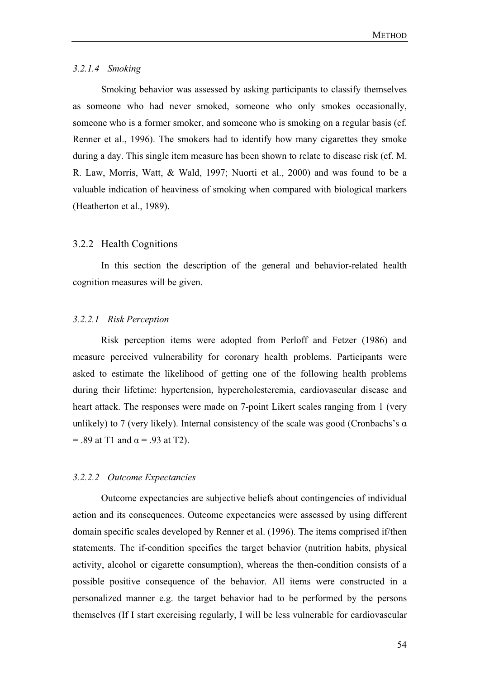### *3.2.1.4 Smoking*

Smoking behavior was assessed by asking participants to classify themselves as someone who had never smoked, someone who only smokes occasionally, someone who is a former smoker, and someone who is smoking on a regular basis (cf. Renner et al., 1996). The smokers had to identify how many cigarettes they smoke during a day. This single item measure has been shown to relate to disease risk (cf. M. R. Law, Morris, Watt, & Wald, 1997; Nuorti et al., 2000) and was found to be a valuable indication of heaviness of smoking when compared with biological markers (Heatherton et al., 1989).

#### 3.2.2 Health Cognitions

In this section the description of the general and behavior-related health cognition measures will be given.

#### *3.2.2.1 Risk Perception*

Risk perception items were adopted from Perloff and Fetzer (1986) and measure perceived vulnerability for coronary health problems. Participants were asked to estimate the likelihood of getting one of the following health problems during their lifetime: hypertension, hypercholesteremia, cardiovascular disease and heart attack. The responses were made on 7-point Likert scales ranging from 1 (very unlikely) to 7 (very likely). Internal consistency of the scale was good (Cronbachs's  $\alpha$  $= .89$  at T1 and  $\alpha = .93$  at T2).

#### *3.2.2.2 Outcome Expectancies*

Outcome expectancies are subjective beliefs about contingencies of individual action and its consequences. Outcome expectancies were assessed by using different domain specific scales developed by Renner et al. (1996). The items comprised if/then statements. The if-condition specifies the target behavior (nutrition habits, physical activity, alcohol or cigarette consumption), whereas the then-condition consists of a possible positive consequence of the behavior. All items were constructed in a personalized manner e.g. the target behavior had to be performed by the persons themselves (If I start exercising regularly, I will be less vulnerable for cardiovascular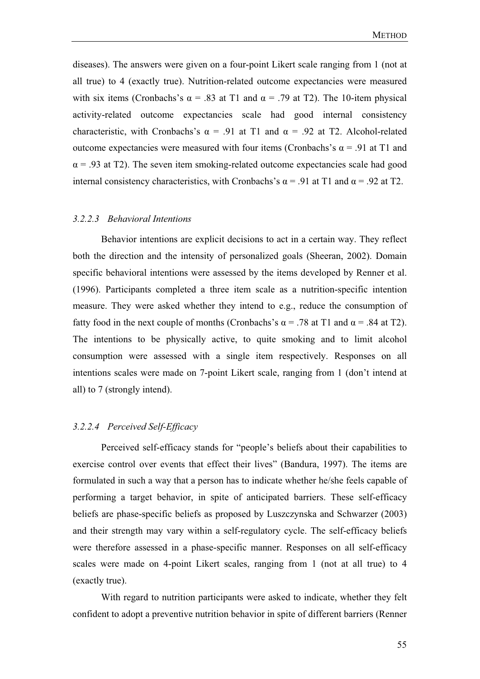diseases). The answers were given on a four-point Likert scale ranging from 1 (not at all true) to 4 (exactly true). Nutrition-related outcome expectancies were measured with six items (Cronbachs's  $\alpha$  = .83 at T1 and  $\alpha$  = .79 at T2). The 10-item physical activity-related outcome expectancies scale had good internal consistency characteristic, with Cronbachs's  $\alpha = .91$  at T1 and  $\alpha = .92$  at T2. Alcohol-related outcome expectancies were measured with four items (Cronbachs's  $\alpha$  = .91 at T1 and  $\alpha$  = .93 at T2). The seven item smoking-related outcome expectancies scale had good internal consistency characteristics, with Cronbachs's  $\alpha$  = .91 at T1 and  $\alpha$  = .92 at T2.

#### *3.2.2.3 Behavioral Intentions*

Behavior intentions are explicit decisions to act in a certain way. They reflect both the direction and the intensity of personalized goals (Sheeran, 2002). Domain specific behavioral intentions were assessed by the items developed by Renner et al. (1996). Participants completed a three item scale as a nutrition-specific intention measure. They were asked whether they intend to e.g., reduce the consumption of fatty food in the next couple of months (Cronbachs's  $\alpha = .78$  at T1 and  $\alpha = .84$  at T2). The intentions to be physically active, to quite smoking and to limit alcohol consumption were assessed with a single item respectively. Responses on all intentions scales were made on 7-point Likert scale, ranging from 1 (don't intend at all) to 7 (strongly intend).

#### *3.2.2.4 Perceived Self-Efficacy*

Perceived self-efficacy stands for "people's beliefs about their capabilities to exercise control over events that effect their lives" (Bandura, 1997). The items are formulated in such a way that a person has to indicate whether he/she feels capable of performing a target behavior, in spite of anticipated barriers. These self-efficacy beliefs are phase-specific beliefs as proposed by Luszczynska and Schwarzer (2003) and their strength may vary within a self-regulatory cycle. The self-efficacy beliefs were therefore assessed in a phase-specific manner. Responses on all self-efficacy scales were made on 4-point Likert scales, ranging from 1 (not at all true) to 4 (exactly true).

 With regard to nutrition participants were asked to indicate, whether they felt confident to adopt a preventive nutrition behavior in spite of different barriers (Renner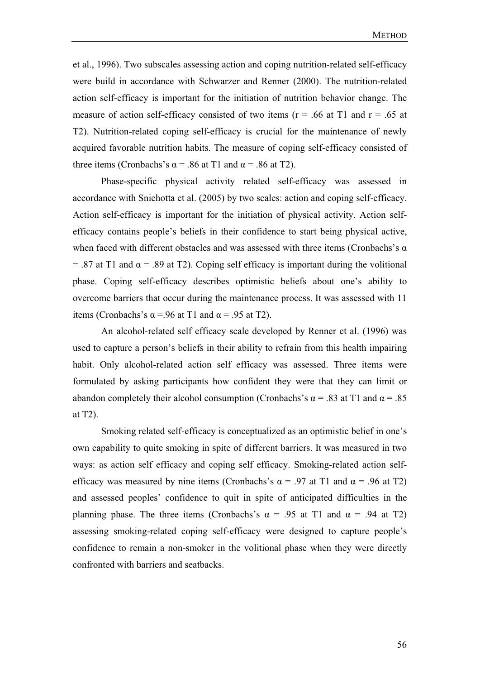et al., 1996). Two subscales assessing action and coping nutrition-related self-efficacy were build in accordance with Schwarzer and Renner (2000). The nutrition-related action self-efficacy is important for the initiation of nutrition behavior change. The measure of action self-efficacy consisted of two items ( $r = .66$  at T1 and  $r = .65$  at T2). Nutrition-related coping self-efficacy is crucial for the maintenance of newly acquired favorable nutrition habits. The measure of coping self-efficacy consisted of three items (Cronbachs's  $\alpha$  = .86 at T1 and  $\alpha$  = .86 at T2).

 Phase-specific physical activity related self-efficacy was assessed in accordance with Sniehotta et al. (2005) by two scales: action and coping self-efficacy. Action self-efficacy is important for the initiation of physical activity. Action selfefficacy contains people's beliefs in their confidence to start being physical active, when faced with different obstacles and was assessed with three items (Cronbachs's  $\alpha$ )  $= .87$  at T1 and  $\alpha = .89$  at T2). Coping self efficacy is important during the volitional phase. Coping self-efficacy describes optimistic beliefs about one's ability to overcome barriers that occur during the maintenance process. It was assessed with 11 items (Cronbachs's  $\alpha$  =.96 at T1 and  $\alpha$  = .95 at T2).

 An alcohol-related self efficacy scale developed by Renner et al. (1996) was used to capture a person's beliefs in their ability to refrain from this health impairing habit. Only alcohol-related action self efficacy was assessed. Three items were formulated by asking participants how confident they were that they can limit or abandon completely their alcohol consumption (Cronbachs's  $\alpha$  = .83 at T1 and  $\alpha$  = .85 at T2).

Smoking related self-efficacy is conceptualized as an optimistic belief in one's own capability to quite smoking in spite of different barriers. It was measured in two ways: as action self efficacy and coping self efficacy. Smoking-related action selfefficacy was measured by nine items (Cronbachs's  $\alpha$  = .97 at T1 and  $\alpha$  = .96 at T2) and assessed peoples' confidence to quit in spite of anticipated difficulties in the planning phase. The three items (Cronbachs's  $\alpha = .95$  at T1 and  $\alpha = .94$  at T2) assessing smoking-related coping self-efficacy were designed to capture people's confidence to remain a non-smoker in the volitional phase when they were directly confronted with barriers and seatbacks.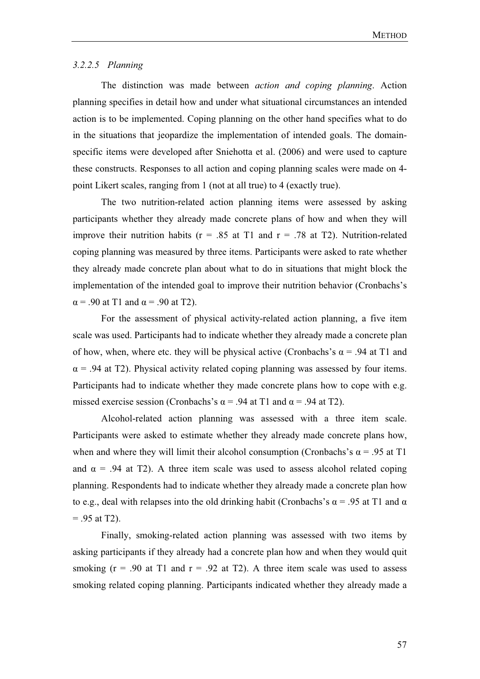#### *3.2.2.5 Planning*

The distinction was made between *action and coping planning*. Action planning specifies in detail how and under what situational circumstances an intended action is to be implemented. Coping planning on the other hand specifies what to do in the situations that jeopardize the implementation of intended goals. The domainspecific items were developed after Sniehotta et al. (2006) and were used to capture these constructs. Responses to all action and coping planning scales were made on 4 point Likert scales, ranging from 1 (not at all true) to 4 (exactly true).

The two nutrition-related action planning items were assessed by asking participants whether they already made concrete plans of how and when they will improve their nutrition habits ( $r = .85$  at T1 and  $r = .78$  at T2). Nutrition-related coping planning was measured by three items. Participants were asked to rate whether they already made concrete plan about what to do in situations that might block the implementation of the intended goal to improve their nutrition behavior (Cronbachs's  $\alpha$  = .90 at T1 and  $\alpha$  = .90 at T2).

For the assessment of physical activity-related action planning, a five item scale was used. Participants had to indicate whether they already made a concrete plan of how, when, where etc. they will be physical active (Cronbachs's  $\alpha$  = .94 at T1 and  $\alpha$  = .94 at T2). Physical activity related coping planning was assessed by four items. Participants had to indicate whether they made concrete plans how to cope with e.g. missed exercise session (Cronbachs's  $\alpha$  = .94 at T1 and  $\alpha$  = .94 at T2).

Alcohol-related action planning was assessed with a three item scale. Participants were asked to estimate whether they already made concrete plans how, when and where they will limit their alcohol consumption (Cronbachs's  $\alpha$  = .95 at T1 and  $\alpha$  = .94 at T2). A three item scale was used to assess alcohol related coping planning. Respondents had to indicate whether they already made a concrete plan how to e.g., deal with relapses into the old drinking habit (Cronbachs's  $\alpha$  = .95 at T1 and  $\alpha$ )  $= .95$  at T2).

Finally, smoking-related action planning was assessed with two items by asking participants if they already had a concrete plan how and when they would quit smoking  $(r = .90$  at T1 and  $r = .92$  at T2). A three item scale was used to assess smoking related coping planning. Participants indicated whether they already made a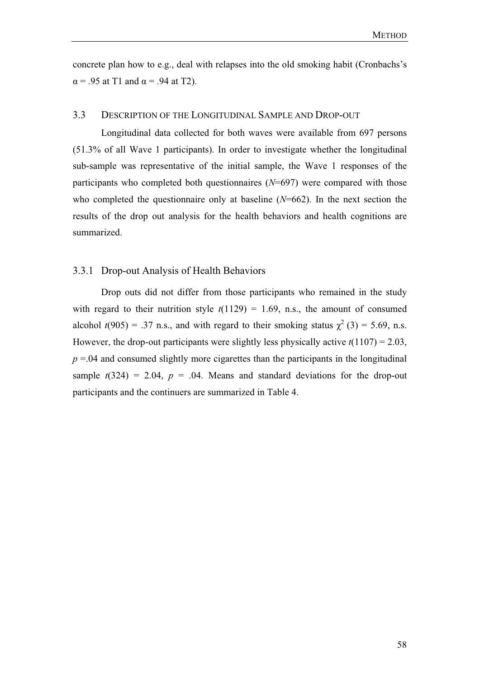concrete plan how to e.g., deal with relapses into the old smoking habit (Cronbachs's  $\alpha$  = .95 at T1 and  $\alpha$  = .94 at T2).

## 3.3 DESCRIPTION OF THE LONGITUDINAL SAMPLE AND DROP-OUT

Longitudinal data collected for both waves were available from 697 persons (51.3% of all Wave 1 participants). In order to investigate whether the longitudinal sub-sample was representative of the initial sample, the Wave 1 responses of the participants who completed both questionnaires (*N*=697) were compared with those who completed the questionnaire only at baseline (*N*=662). In the next section the results of the drop out analysis for the health behaviors and health cognitions are summarized.

### 3.3.1 Drop-out Analysis of Health Behaviors

Drop outs did not differ from those participants who remained in the study with regard to their nutrition style  $t(1129) = 1.69$ , n.s., the amount of consumed alcohol  $t(905) = .37$  n.s., and with regard to their smoking status  $\chi^2(3) = 5.69$ , n.s. However, the drop-out participants were slightly less physically active  $t(1107) = 2.03$ ,  $p = 0.04$  and consumed slightly more cigarettes than the participants in the longitudinal sample  $t(324) = 2.04$ ,  $p = .04$ . Means and standard deviations for the drop-out participants and the continuers are summarized in Table 4.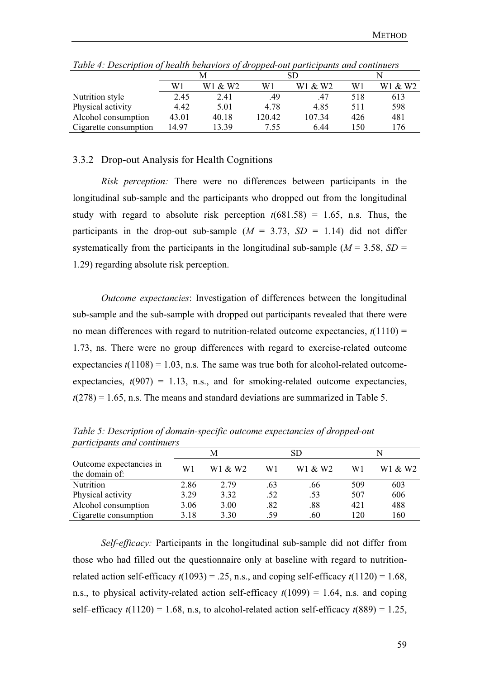|                       | M     |         |        | SD      |     |         |
|-----------------------|-------|---------|--------|---------|-----|---------|
|                       | W1    | W1 & W2 | W1     | W1 & W2 | W1  | W1 & W2 |
| Nutrition style       | 2.45  | 2.41    | .49    | 47      | 518 | 613     |
| Physical activity     | 4.42  | 5.01    | 4.78   | 4.85    | 511 | 598     |
| Alcohol consumption   | 43.01 | 40.18   | 120.42 | 107.34  | 426 | 481     |
| Cigarette consumption | 14.97 | 13.39   | 7.55   | 6.44    | 50  | 176     |

*Table 4: Description of health behaviors of dropped-out participants and continuers* 

## 3.3.2 Drop-out Analysis for Health Cognitions

*Risk perception:* There were no differences between participants in the longitudinal sub-sample and the participants who dropped out from the longitudinal study with regard to absolute risk perception  $t(681.58) = 1.65$ , n.s. Thus, the participants in the drop-out sub-sample  $(M = 3.73, SD = 1.14)$  did not differ systematically from the participants in the longitudinal sub-sample ( $M = 3.58$ ,  $SD =$ 1.29) regarding absolute risk perception.

*Outcome expectancies*: Investigation of differences between the longitudinal sub-sample and the sub-sample with dropped out participants revealed that there were no mean differences with regard to nutrition-related outcome expectancies,  $t(1110)$  = 1.73, ns. There were no group differences with regard to exercise-related outcome expectancies  $t(1108) = 1.03$ , n.s. The same was true both for alcohol-related outcomeexpectancies,  $t(907) = 1.13$ , n.s., and for smoking-related outcome expectancies,  $t(278) = 1.65$ , n.s. The means and standard deviations are summarized in Table 5.

|                                           | M    |         | SD  |         |     |         |
|-------------------------------------------|------|---------|-----|---------|-----|---------|
| Outcome expectancies in<br>the domain of: | W1   | W1 & W2 | W1  | W1 & W2 | W1  | W1 & W2 |
| <b>Nutrition</b>                          | 2.86 | 2.79    | .63 | .66     | 509 | 603     |
| Physical activity                         | 3.29 | 3.32    | .52 | .53     | 507 | 606     |
| Alcohol consumption                       | 3.06 | 3.00    | .82 | .88     | 421 | 488     |
| Cigarette consumption                     | 3.18 | 3.30    | .59 | .60     | 120 | 160     |

*Table 5: Description of domain-specific outcome expectancies of dropped-out participants and continuers* 

*Self-efficacy:* Participants in the longitudinal sub-sample did not differ from those who had filled out the questionnaire only at baseline with regard to nutritionrelated action self-efficacy  $t(1093) = .25$ , n.s., and coping self-efficacy  $t(1120) = 1.68$ , n.s., to physical activity-related action self-efficacy  $t(1099) = 1.64$ , n.s. and coping self–efficacy  $t(1120) = 1.68$ , n.s, to alcohol-related action self-efficacy  $t(889) = 1.25$ ,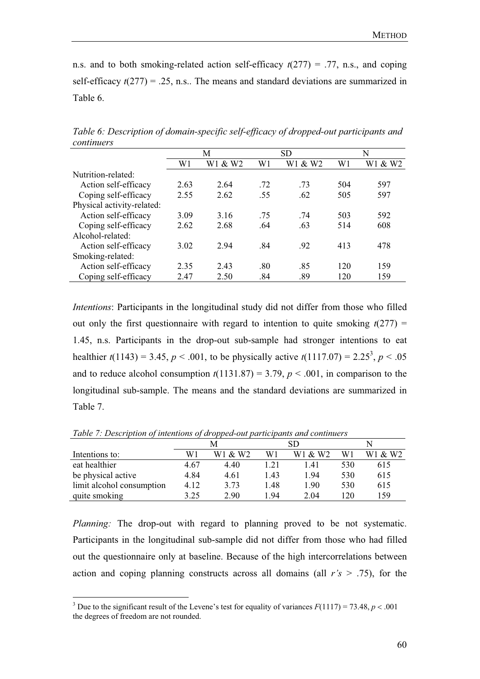n.s. and to both smoking-related action self-efficacy  $t(277) = .77$ , n.s., and coping self-efficacy  $t(277) = .25$ , n.s.. The means and standard deviations are summarized in Table 6.

|                            | М    |         | <b>SD</b> |         | N   |         |
|----------------------------|------|---------|-----------|---------|-----|---------|
|                            | W1   | W1 & W2 | W1        | W1 & W2 | W1  | W1 & W2 |
| Nutrition-related:         |      |         |           |         |     |         |
| Action self-efficacy       | 2.63 | 2.64    | .72       | .73     | 504 | 597     |
| Coping self-efficacy       | 2.55 | 2.62    | .55       | .62     | 505 | 597     |
| Physical activity-related: |      |         |           |         |     |         |
| Action self-efficacy       | 3.09 | 3.16    | .75       | .74     | 503 | 592     |
| Coping self-efficacy       | 2.62 | 2.68    | .64       | .63     | 514 | 608     |
| Alcohol-related:           |      |         |           |         |     |         |
| Action self-efficacy       | 3.02 | 2.94    | .84       | .92     | 413 | 478     |
| Smoking-related:           |      |         |           |         |     |         |
| Action self-efficacy       | 2.35 | 2.43    | .80       | .85     | 120 | 159     |
| Coping self-efficacy       | 2.47 | 2.50    | .84       | .89     | 120 | 159     |

*Table 6: Description of domain-specific self-efficacy of dropped-out participants and continuers*

*Intentions*: Participants in the longitudinal study did not differ from those who filled out only the first questionnaire with regard to intention to quite smoking  $t(277)$  = 1.45, n.s. Participants in the drop-out sub-sample had stronger intentions to eat healthier  $t(1143) = 3.45$ ,  $p < .001$ , to be physically active  $t(1117.07) = 2.25<sup>3</sup>$ ,  $p < .05$ and to reduce alcohol consumption  $t(1131.87) = 3.79$ ,  $p < .001$ , in comparison to the longitudinal sub-sample. The means and the standard deviations are summarized in Table 7.

|                           |      |         | SD   |         |     |         |
|---------------------------|------|---------|------|---------|-----|---------|
| Intentions to:            | W1   | W1 & W2 | W1   | W1 & W2 | W1  | W1 & W2 |
| eat healthier             | 4.67 | 4.40    | 1.21 | 1.41    | 530 | 615     |
| be physical active        | 4.84 | 4.61    | 1.43 | 1.94    | 530 | 615     |
| limit alcohol consumption | 4.12 | 3.73    | 1.48 | 1.90    | 530 | 615     |
| quite smoking             | 3.25 | 2.90    | 1.94 | 2.04    | 120 | 159     |

*Table 7: Description of intentions of dropped-out participants and continuers* 

*Planning:* The drop-out with regard to planning proved to be not systematic. Participants in the longitudinal sub-sample did not differ from those who had filled out the questionnaire only at baseline. Because of the high intercorrelations between action and coping planning constructs across all domains (all *r's* > .75), for the

<sup>&</sup>lt;sup>3</sup> Due to the significant result of the Levene's test for equality of variances  $F(1117) = 73.48$ ,  $p < .001$ the degrees of freedom are not rounded.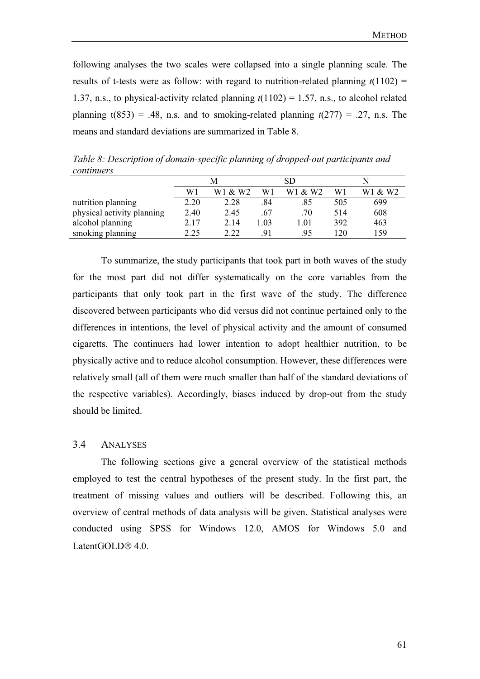following analyses the two scales were collapsed into a single planning scale. The results of t-tests were as follow: with regard to nutrition-related planning  $t(1102)$  = 1.37, n.s., to physical-activity related planning *t*(1102) = 1.57, n.s., to alcohol related planning  $t(853) = .48$ , n.s. and to smoking-related planning  $t(277) = .27$ , n.s. The means and standard deviations are summarized in Table 8.

 M SD N W1 W1 & W2 W1 W1 & W2 W1 W1 & W2 nutrition planning 2.20 2.28 .84 .85 505 699 physical activity planning  $2.40$   $2.45$   $0.67$   $0.70$   $0.514$   $0.608$ alcohol planning 2.17 2.14 1.03 1.01 392 463 smoking planning 2.25 2.22 .91 .95 120 159

*Table 8: Description of domain-specific planning of dropped-out participants and continuers*

To summarize, the study participants that took part in both waves of the study for the most part did not differ systematically on the core variables from the participants that only took part in the first wave of the study. The difference discovered between participants who did versus did not continue pertained only to the differences in intentions, the level of physical activity and the amount of consumed cigaretts. The continuers had lower intention to adopt healthier nutrition, to be physically active and to reduce alcohol consumption. However, these differences were relatively small (all of them were much smaller than half of the standard deviations of the respective variables). Accordingly, biases induced by drop-out from the study should be limited.

### 3.4 ANALYSES

The following sections give a general overview of the statistical methods employed to test the central hypotheses of the present study. In the first part, the treatment of missing values and outliers will be described. Following this, an overview of central methods of data analysis will be given. Statistical analyses were conducted using SPSS for Windows 12.0, AMOS for Windows 5.0 and LatentGOLD $\mathcal{R}$  4.0.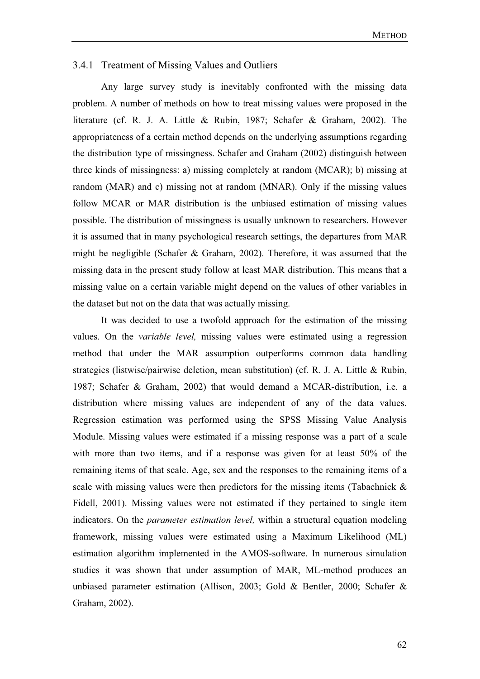### 3.4.1 Treatment of Missing Values and Outliers

Any large survey study is inevitably confronted with the missing data problem. A number of methods on how to treat missing values were proposed in the literature (cf. R. J. A. Little & Rubin, 1987; Schafer & Graham, 2002). The appropriateness of a certain method depends on the underlying assumptions regarding the distribution type of missingness. Schafer and Graham (2002) distinguish between three kinds of missingness: a) missing completely at random (MCAR); b) missing at random (MAR) and c) missing not at random (MNAR). Only if the missing values follow MCAR or MAR distribution is the unbiased estimation of missing values possible. The distribution of missingness is usually unknown to researchers. However it is assumed that in many psychological research settings, the departures from MAR might be negligible (Schafer & Graham, 2002). Therefore, it was assumed that the missing data in the present study follow at least MAR distribution. This means that a missing value on a certain variable might depend on the values of other variables in the dataset but not on the data that was actually missing.

It was decided to use a twofold approach for the estimation of the missing values. On the *variable level,* missing values were estimated using a regression method that under the MAR assumption outperforms common data handling strategies (listwise/pairwise deletion, mean substitution) (cf. R. J. A. Little & Rubin, 1987; Schafer & Graham, 2002) that would demand a MCAR-distribution, i.e. a distribution where missing values are independent of any of the data values. Regression estimation was performed using the SPSS Missing Value Analysis Module. Missing values were estimated if a missing response was a part of a scale with more than two items, and if a response was given for at least 50% of the remaining items of that scale. Age, sex and the responses to the remaining items of a scale with missing values were then predictors for the missing items (Tabachnick & Fidell, 2001). Missing values were not estimated if they pertained to single item indicators. On the *parameter estimation level,* within a structural equation modeling framework, missing values were estimated using a Maximum Likelihood (ML) estimation algorithm implemented in the AMOS-software. In numerous simulation studies it was shown that under assumption of MAR, ML-method produces an unbiased parameter estimation (Allison, 2003; Gold & Bentler, 2000; Schafer & Graham, 2002).

62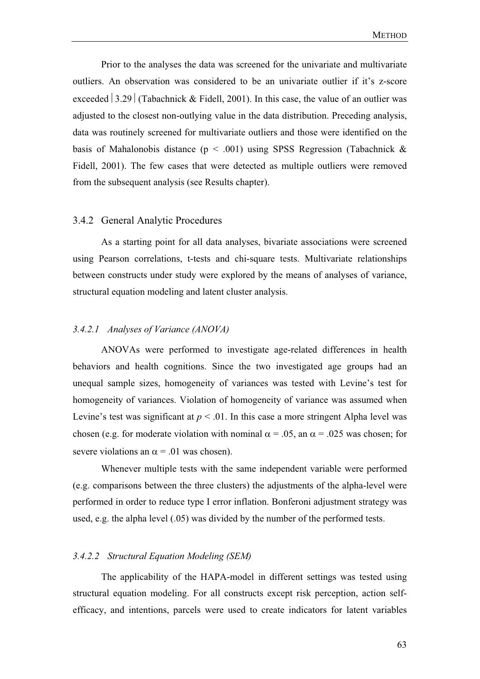Prior to the analyses the data was screened for the univariate and multivariate outliers. An observation was considered to be an univariate outlier if it's z-score exceeded  $\vert 3.29 \vert$  (Tabachnick & Fidell, 2001). In this case, the value of an outlier was adjusted to the closest non-outlying value in the data distribution. Preceding analysis, data was routinely screened for multivariate outliers and those were identified on the basis of Mahalonobis distance ( $p < .001$ ) using SPSS Regression (Tabachnick & Fidell, 2001). The few cases that were detected as multiple outliers were removed from the subsequent analysis (see Results chapter).

#### 3.4.2 General Analytic Procedures

As a starting point for all data analyses, bivariate associations were screened using Pearson correlations, t-tests and chi-square tests. Multivariate relationships between constructs under study were explored by the means of analyses of variance, structural equation modeling and latent cluster analysis.

### *3.4.2.1 Analyses of Variance (ANOVA)*

ANOVAs were performed to investigate age-related differences in health behaviors and health cognitions. Since the two investigated age groups had an unequal sample sizes, homogeneity of variances was tested with Levine's test for homogeneity of variances. Violation of homogeneity of variance was assumed when Levine's test was significant at  $p < 0.01$ . In this case a more stringent Alpha level was chosen (e.g. for moderate violation with nominal  $\alpha = .05$ , an  $\alpha = .025$  was chosen; for severe violations an  $\alpha$  = .01 was chosen).

 Whenever multiple tests with the same independent variable were performed (e.g. comparisons between the three clusters) the adjustments of the alpha-level were performed in order to reduce type I error inflation. Bonferoni adjustment strategy was used, e.g. the alpha level (.05) was divided by the number of the performed tests.

### *3.4.2.2 Structural Equation Modeling (SEM)*

The applicability of the HAPA-model in different settings was tested using structural equation modeling. For all constructs except risk perception, action selfefficacy, and intentions, parcels were used to create indicators for latent variables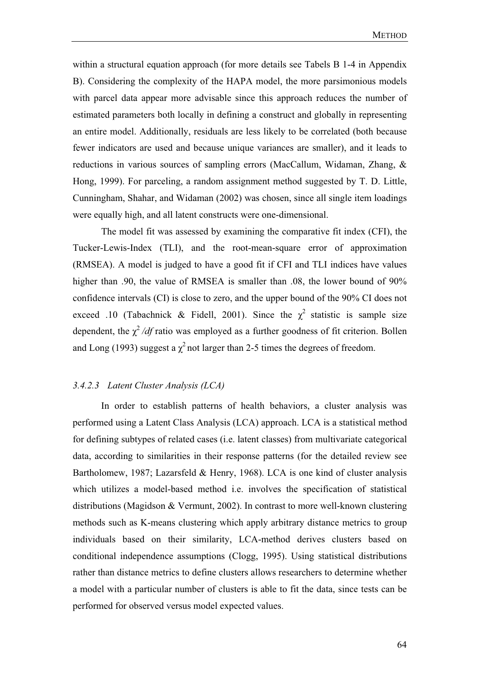within a structural equation approach (for more details see Tabels B 1-4 in Appendix B). Considering the complexity of the HAPA model, the more parsimonious models with parcel data appear more advisable since this approach reduces the number of estimated parameters both locally in defining a construct and globally in representing an entire model. Additionally, residuals are less likely to be correlated (both because fewer indicators are used and because unique variances are smaller), and it leads to reductions in various sources of sampling errors (MacCallum, Widaman, Zhang, & Hong, 1999). For parceling, a random assignment method suggested by T. D. Little, Cunningham, Shahar, and Widaman (2002) was chosen, since all single item loadings were equally high, and all latent constructs were one-dimensional.

The model fit was assessed by examining the comparative fit index (CFI), the Tucker-Lewis-Index (TLI), and the root-mean-square error of approximation (RMSEA). A model is judged to have a good fit if CFI and TLI indices have values higher than .90, the value of RMSEA is smaller than .08, the lower bound of  $90\%$ confidence intervals (CI) is close to zero, and the upper bound of the 90% CI does not exceed .10 (Tabachnick & Fidell, 2001). Since the  $\chi^2$  statistic is sample size dependent, the  $\chi^2/df$  ratio was employed as a further goodness of fit criterion. Bollen and Long (1993) suggest a  $\chi^2$  not larger than 2-5 times the degrees of freedom.

# *3.4.2.3 Latent Cluster Analysis (LCA)*

In order to establish patterns of health behaviors, a cluster analysis was performed using a Latent Class Analysis (LCA) approach. LCA is a statistical method for defining subtypes of related cases (i.e. latent classes) from multivariate categorical data, according to similarities in their response patterns (for the detailed review see Bartholomew, 1987; Lazarsfeld & Henry, 1968). LCA is one kind of cluster analysis which utilizes a model-based method i.e. involves the specification of statistical distributions (Magidson & Vermunt, 2002). In contrast to more well-known clustering methods such as K-means clustering which apply arbitrary distance metrics to group individuals based on their similarity, LCA-method derives clusters based on conditional independence assumptions (Clogg, 1995). Using statistical distributions rather than distance metrics to define clusters allows researchers to determine whether a model with a particular number of clusters is able to fit the data, since tests can be performed for observed versus model expected values.